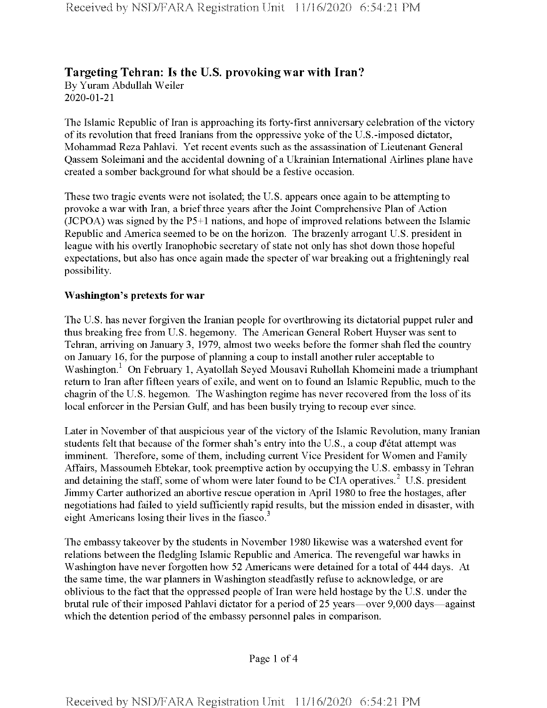# **Targeting Tehran: Is the U.S. provoking war with Iran?**

By Yuram Abdullah Weiler 2020-01-21

The Islamic Republic of Iran is approaching its forty-first anniversary celebration of the victory ofits revolution that freed Iranians from the oppressive yoke ofthe U.S.-imposed dictator, Mohammad Reza Pahlavi. Yet recent events such as the assassination of Lieutenant General Qassem Soleimani and the accidental downing of a Ukrainian International Airlines plane have created a somber background for what should be a festive occasion.

These two tragic events were not isolated; the U.S. appears once again to be attempting to provoke a war with Iran, a brief three years after the Joint Comprehensive Plan of Action  $(JCPOA)$  was signed by the P5+1 nations, and hope of improved relations between the Islamic Republic and America seemed to be on the horizon. The brazenly arrogant U.S. president in league with his overtly Iranophobic secretary of state not only has shot down those hopeful expectations, but also has once again made the specter of war breaking out a frighteningly real possibility.

#### **Washington's pretexts for war**

The U.S. has never forgiven the Iranian people for overthrowing its dictatorial puppet ruler and thus breaking free from U.S. hegemony. The American General Robert Huyser was sent to Tehran, arriving on January 3, 1979, almost two weeks before the former shah fled the country on January 16, for the purpose of planning a coup to install another ruler acceptable to Washington.<sup>1</sup> On February 1, Ayatollah Seyed Mousavi Ruhollah Khomeini made a triumphant return to Iran after fifteen years of exile, and went on to found an Islamic Republic, much to the chagrin of the U.S. hegemon. The Washington regime has never recovered from the loss of its local enforcer in the Persian Gulf, and has been busily trying to recoup ever since.

Later in November of that auspicious year of the victory of the Islamic Revolution, many Iranian students felt that because of the former shah's entry into the U.S., a coup d'état attempt was imminent. Therefore, some of them, including current Vice President for Women and Family Affairs, Massoumeh Ebtekar, took preemptive action by occupying the U.S. embassy in Tehran and detaining the staff, some of whom were later found to be CIA operatives.<sup>2</sup> U.S. president Jimmy Carter authorized an abortive rescue operation in April 1980 to free the hostages, after negotiations had failed to yield sufficiently rapid results, but the mission ended in disaster, with eight Americans losing their lives in the fiasco.<sup>3</sup>

The embassy takeover by the students in November 1980 likewise was a watershed event for relations between the fledgling Islamic Republic and America. The revengeful war hawks in Washington have never forgotten how 52 Americans were detained for a total of 444 days. At the same time, the war planners in Washington steadfastly refuse to acknowledge, or are oblivious to the fact that the oppressed people ofIran were held hostage by the U.S. under the brutal rule of their imposed Pahlavi dictator for a period of 25 years—over 9,000 days—against which the detention period of the embassy personnel pales in comparison.

Page <sup>1</sup> of 4

Received by NSD/FARA Registration Unit 11/16/2020 6:54:21 PM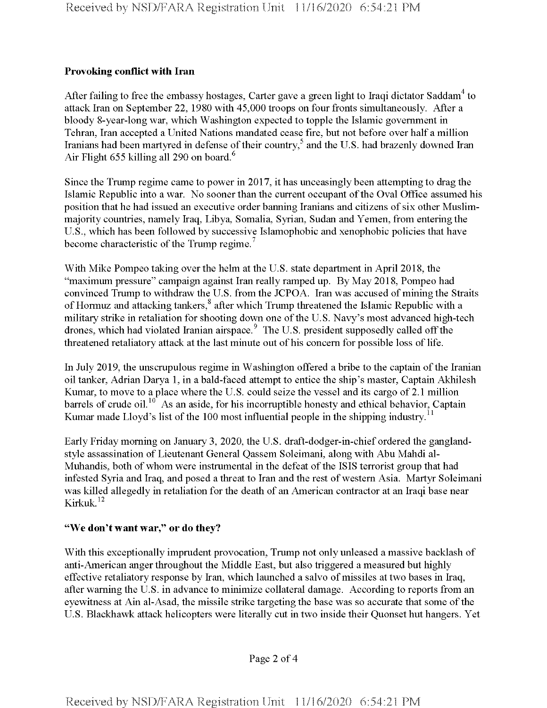## **Provoking conflict with Iran**

After failing to free the embassy hostages, Carter gave a green light to Iraqi dictator Saddam<sup>4</sup> to attack Iran on September 22, 1980 with 45,000 troops on four fronts simultaneously. After a bloody 8-year-long war, which Washington expected to topple the Islamic government in Tehran, Iran accepted a United Nations mandated cease fire, but not before over half a million Iranians had been martyred in defense of their country,<sup>5</sup> and the U.S. had brazenly downed Iran Air Flight 655 killing all 290 on board.<sup>6</sup>

Since the Trump regime came to power in 2017, it has unceasingly been attempting to drag the Islamic Republic into a war. No sooner than the current occupant ofthe Oval Office assumed his position that he had issued an executive order banning Iranians and citizens of six other Muslimmajority countries, namely Iraq, Libya, Somalia, Syrian, Sudan and Yemen, from entering the U.S., which has been followed by successive Islamophobic and xenophobic policies that have become characteristic of the Trump regime.<sup>7</sup>

With Mike Pompeo taking over the helm at the U.S. state department in April 2018, the "maximum pressure" campaign against Iran really ramped up. By May 2018, Pompeo had convinced Trump to withdraw the U.S. from the JCPOA. Iran was accused of mining the Straits of Hormuz and attacking tankers,<sup>8</sup> after which Trump threatened the Islamic Republic with a military strike in retaliation for shooting down one of the U.S. Navy's most advanced high-tech drones, which had violated Iranian airspace.<sup>9</sup> The U.S. president supposedly called off the threatened retaliatory attack at the last minute out of his concern for possible loss of life.

In July 2019, the unscrupulous regime in Washington offered a bribe to the captain of the Iranian oil tanker, Adrian Darya 1, in a bald-faced attempt to entice the ship's master, Captain Akhilesh Kumar, to move to a place where the U.S. could seize the vessel and its cargo of 2.1 million barrels of crude oil.<sup>10</sup> As an aside, for his incorruptible honesty and ethical behavior, Captain Kumar made Lloyd's list of the 100 most influential people in the shipping industry.<sup>11</sup>

Early Friday morning on January 3, 2020, the U.S. draft-dodger-in-chief ordered the ganglandstyle assassination of Lieutenant General Qassem Soleimani, along with Abu Mahdi al-Muhandis, both of whom were instrumental in the defeat of the ISIS terrorist group that had infested Syria and Iraq, and posed a threat to Iran and the rest ofwestern Asia. Martyr Soleimani was killed allegedly in retaliation for the death of an American contractor at an Iraqi base near Kirkuk.12

## **"We don't want war," or do they?**

With this exceptionally imprudent provocation, Trump not only unleased a massive backlash of anti-American anger throughout the Middle East, but also triggered a measured but highly effective retaliatory response by Iran, which launched a salvo of missiles at two bases in Iraq, after warning the U.S. in advance to minimize collateral damage. According to reports from an eyewitness at Ain al-Asad, the missile strike targeting the base was so accurate that some of the U.S. Blackhawk attack helicopters were literally cut in two inside their Quonset hut hangers. Yet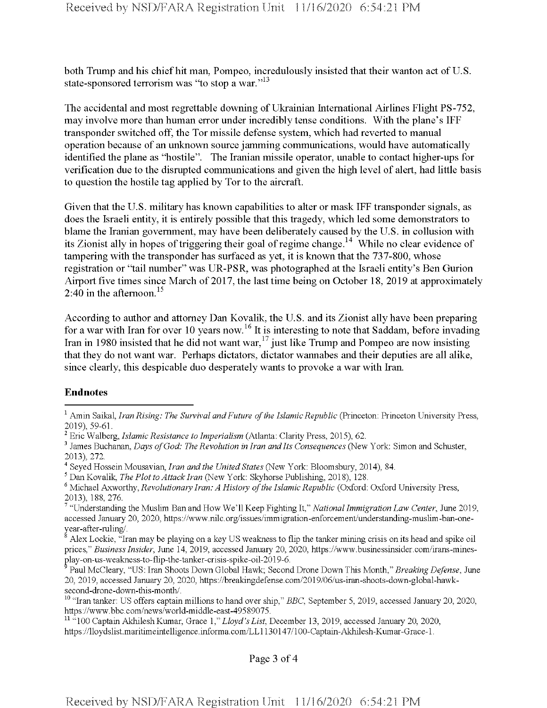both Trump and his chief hit man, Pompeo, incredulously insisted that their wanton act of U.S. state-sponsored terrorism was "to stop a war."<sup>13</sup>

The accidental and most regrettable downing of Ukrainian International Airlines Flight PS-752, may involve more than human error under incredibly tense conditions. With the plane's IFF transponder switched off, the Tor missile defense system, which had reverted to manual operation because of an unknown source jamming communications, would have automatically identified the plane as "hostile". The Iranian missile operator, unable to contact higher-ups for verification due to the disrupted communications and given the high level of alert, had little basis to question the hostile tag applied by Tor to the aircraft.

Given that the U.S. military has known capabilities to alter or mask IFF transponder signals, as does the Israeli entity, it is entirely possible that this tragedy, which led some demonstrators to blame the Iranian government, may have been deliberately caused by the U.S. in collusion with its Zionist ally in hopes of triggering their goal of regime change.<sup>14</sup> While no clear evidence of tampering with the transponder has surfaced as yet, it is known that the 737-800, whose registration or "tail number" was UR-PSR, was photographed at the Israeli entity's Ben Gurion Airport five times since March of 2017, the last time being on October 18, 2019 at approximately 2:40 in the afternoon.<sup>15</sup>

According to author and attorney Dan Kovalik, the U.S. and its Zionist ally have been preparing for a war with Iran for over 10 years now.<sup>16</sup> It is interesting to note that Saddam, before invading Iran in 1980 insisted that he did not want war,<sup>17</sup> just like Trump and Pompeo are now insisting that they do not want war. Perhaps dictators, dictator wannabes and their deputies are all alike, since clearly, this despicable duo desperately wants to provoke a war with Iran.

#### **Endnotes**

Page 3 of 4

<sup>1</sup> Amin Saikal, *Iran Rising: The Survival andFuture ofthe IslamicRepublic* (Princeton: Princeton University Press, 2019), 59-61.

<sup>2</sup> Eric Walberg, *Islamic Resistance to Imperialism* (Atlanta: Clarity Press, 2015), 62.

<sup>3</sup> James Buchanan, *Days ofGod: The Revolution in Iran andIts Consequences* (New York: Simon and Schuster, 2013), 272.

<sup>4</sup> Seyed Hossein Mousavian, *Iran and the United States* (New York: Bloomsbury, 2014), 84.

<sup>5</sup> Dan Kovalik, *The Plot to Attack Iran* (New York: Skyhorse Publishing, 2018), 128.

<sup>6</sup> Michael Axworthy, *Revolutionary Iran: A History ofthe Islamic Republic* (Oxford: Oxford University Press, 2013), 188, 276.

<sup>7</sup> "Understanding the Muslim Ban and How We'll Keep Fighting It," *National Immigration Law Center*, June 2019, accessed January 20, 2020, https://www.nilc.org/issues/immigration-enforcement/understanding-muslim-ban-oneyear-after-ruling/.

<sup>8</sup> Alex Lockie, "Iran may be playing on a key US weakness to flip the tanker mining crisis on its head and spike oil prices," *BusinessInsider,* June 14, 2019, accessed January 20, 2020, https://www.businessinsider.com/irans-minesplay-on-us-weakness-to-flip-the-tanker-crisis-spike-oil-2019-6.

<sup>9</sup> Paul McCleary, "US: Iran Shoots Down Global Hawk; Second Drone Down This Month," *Breaking Defense*, June 20, 2019, accessed January 20, 2020, https://breakingdefense.eom/2019/06/us-iran-shoots-down-global-hawksecond-drone-down-this-month/.

<sup>10</sup> "Iran tanker: US offers captain millions to hand over ship," *BBC*, September 5, 2019, accessed January 20, 2020, https://www.bbc.com/news/world-middle-east-49589075.

<sup>&</sup>lt;sup>11 a</sup>100 Captain Akhilesh Kumar, Grace 1," *Lloyd's List*, December 13, 2019, accessed January 20, 2020, https://lloydslist.maritimeintelligence.informa.com/LLl 130147/100-Captain-Akhilesh-Kumar-Grace-1.